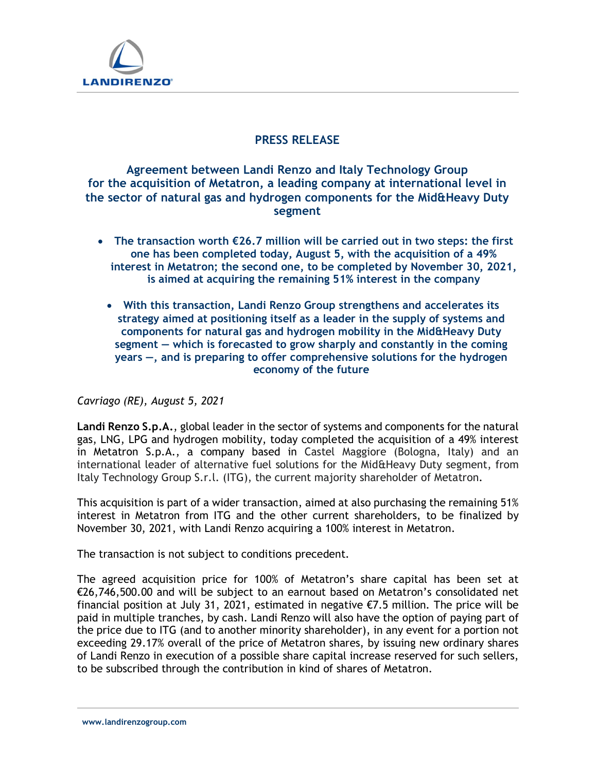

## PRESS RELEASE

# Agreement between Landi Renzo and Italy Technology Group for the acquisition of Metatron, a leading company at international level in the sector of natural gas and hydrogen components for the Mid&Heavy Duty segment

- The transaction worth  $E26.7$  million will be carried out in two steps: the first one has been completed today, August 5, with the acquisition of a 49% interest in Metatron; the second one, to be completed by November 30, 2021, is aimed at acquiring the remaining 51% interest in the company
	- With this transaction, Landi Renzo Group strengthens and accelerates its strategy aimed at positioning itself as a leader in the supply of systems and components for natural gas and hydrogen mobility in the Mid&Heavy Duty segment — which is forecasted to grow sharply and constantly in the coming years —, and is preparing to offer comprehensive solutions for the hydrogen economy of the future

Cavriago (RE), August 5, 2021

Landi Renzo S.p.A., global leader in the sector of systems and components for the natural gas, LNG, LPG and hydrogen mobility, today completed the acquisition of a 49% interest in Metatron S.p.A., a company based in Castel Maggiore (Bologna, Italy) and an international leader of alternative fuel solutions for the Mid&Heavy Duty segment, from Italy Technology Group S.r.l. (ITG), the current majority shareholder of Metatron. This acquisition is part of a wider transaction, aimed at also purchasing the remaining 51%

interest in Metatron from ITG and the other current shareholders, to be finalized by November 30, 2021, with Landi Renzo acquiring a 100% interest in Metatron.

The transaction is not subject to conditions precedent.

The agreed acquisition price for 100% of Metatron's share capital has been set at €26,746,500.00 and will be subject to an earnout based on Metatron's consolidated net financial position at July 31, 2021, estimated in negative  $\epsilon$ 7.5 million. The price will be paid in multiple tranches, by cash. Landi Renzo will also have the option of paying part of the price due to ITG (and to another minority shareholder), in any event for a portion not exceeding 29.17% overall of the price of Metatron shares, by issuing new ordinary shares of Landi Renzo in execution of a possible share capital increase reserved for such sellers, to be subscribed through the contribution in kind of shares of Metatron.

www.landirenzogroup.com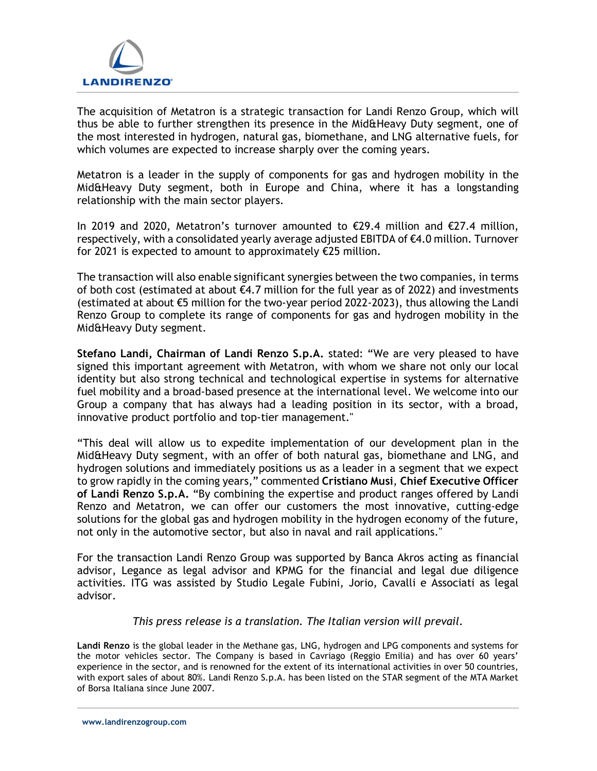

The acquisition of Metatron is a strategic transaction for Landi Renzo Group, which will thus be able to further strengthen its presence in the Mid&Heavy Duty segment, one of the most interested in hydrogen, natural gas, biomethane, and LNG alternative fuels, for which volumes are expected to increase sharply over the coming years.

 Metatron is a leader in the supply of components for gas and hydrogen mobility in the Mid&Heavy Duty segment, both in Europe and China, where it has a longstanding relationship with the main sector players.

In 2019 and 2020, Metatron's turnover amounted to €29.4 million and €27.4 million, respectively, with a consolidated yearly average adjusted EBITDA of €4.0 million. Turnover for 2021 is expected to amount to approximately €25 million.

The transaction will also enable significant synergies between the two companies, in terms of both cost (estimated at about €4.7 million for the full year as of 2022) and investments (estimated at about €5 million for the two-year period 2022-2023), thus allowing the Landi Renzo Group to complete its range of components for gas and hydrogen mobility in the Mid&Heavy Duty segment.

Stefano Landi, Chairman of Landi Renzo S.p.A. stated: "We are very pleased to have signed this important agreement with Metatron, with whom we share not only our local identity but also strong technical and technological expertise in systems for alternative fuel mobility and a broad-based presence at the international level. We welcome into our Group a company that has always had a leading position in its sector, with a broad, innovative product portfolio and top-tier management."

"This deal will allow us to expedite implementation of our development plan in the Mid&Heavy Duty segment, with an offer of both natural gas, biomethane and LNG, and hydrogen solutions and immediately positions us as a leader in a segment that we expect to grow rapidly in the coming years," commented Cristiano Musi, Chief Executive Officer of Landi Renzo S.p.A. "By combining the expertise and product ranges offered by Landi Renzo and Metatron, we can offer our customers the most innovative, cutting-edge solutions for the global gas and hydrogen mobility in the hydrogen economy of the future, not only in the automotive sector, but also in naval and rail applications."

For the transaction Landi Renzo Group was supported by Banca Akros acting as financial advisor, Legance as legal advisor and KPMG for the financial and legal due diligence activities. ITG was assisted by Studio Legale Fubini, Jorio, Cavalli e Associati as legal advisor.

### This press release is a translation. The Italian version will prevail.

Landi Renzo is the global leader in the Methane gas, LNG, hydrogen and LPG components and systems for the motor vehicles sector. The Company is based in Cavriago (Reggio Emilia) and has over 60 years' experience in the sector, and is renowned for the extent of its international activities in over 50 countries, with export sales of about 80%. Landi Renzo S.p.A. has been listed on the STAR segment of the MTA Market of Borsa Italiana since June 2007.

www.landirenzogroup.com